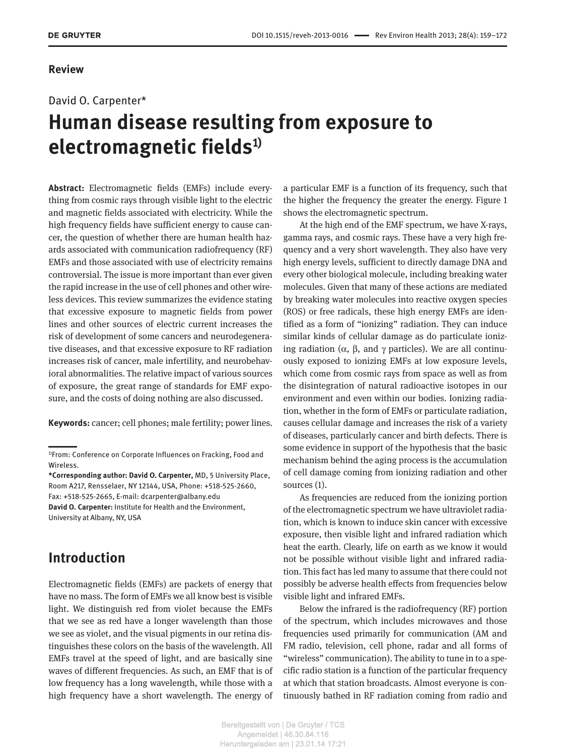### **Review**

### David O. Carpenter\*

# **Human disease resulting from exposure to electromagnetic fields1)**

**Abstract:** Electromagnetic fields (EMFs) include everything from cosmic rays through visible light to the electric and magnetic fields associated with electricity. While the high frequency fields have sufficient energy to cause cancer, the question of whether there are human health hazards associated with communication radiofrequency (RF) EMFs and those associated with use of electricity remains controversial. The issue is more important than ever given the rapid increase in the use of cell phones and other wireless devices. This review summarizes the evidence stating that excessive exposure to magnetic fields from power lines and other sources of electric current increases the risk of development of some cancers and neurodegenerative diseases, and that excessive exposure to RF radiation increases risk of cancer, male infertility, and neurobehavioral abnormalities. The relative impact of various sources of exposure, the great range of standards for EMF exposure, and the costs of doing nothing are also discussed.

**Keywords:** cancer; cell phones; male fertility; power lines.

### **Introduction**

Electromagnetic fields (EMFs) are packets of energy that have no mass. The form of EMFs we all know best is visible light. We distinguish red from violet because the EMFs that we see as red have a longer wavelength than those we see as violet, and the visual pigments in our retina distinguishes these colors on the basis of the wavelength. All EMFs travel at the speed of light, and are basically sine waves of different frequencies. As such, an EMF that is of low frequency has a long wavelength, while those with a high frequency have a short wavelength. The energy of

a particular EMF is a function of its frequency, such that the higher the frequency the greater the energy. Figure 1 shows the electromagnetic spectrum.

At the high end of the EMF spectrum, we have X-rays, gamma rays, and cosmic rays. These have a very high frequency and a very short wavelength. They also have very high energy levels, sufficient to directly damage DNA and every other biological molecule, including breaking water molecules. Given that many of these actions are mediated by breaking water molecules into reactive oxygen species (ROS) or free radicals, these high energy EMFs are identified as a form of "ionizing" radiation. They can induce similar kinds of cellular damage as do particulate ionizing radiation ( $\alpha$ ,  $\beta$ , and  $\gamma$  particles). We are all continuously exposed to ionizing EMFs at low exposure levels, which come from cosmic rays from space as well as from the disintegration of natural radioactive isotopes in our environment and even within our bodies. Ionizing radiation, whether in the form of EMFs or particulate radiation, causes cellular damage and increases the risk of a variety of diseases, particularly cancer and birth defects. There is some evidence in support of the hypothesis that the basic mechanism behind the aging process is the accumulation of cell damage coming from ionizing radiation and other sources (1).

As frequencies are reduced from the ionizing portion of the electromagnetic spectrum we have ultraviolet radiation, which is known to induce skin cancer with excessive exposure, then visible light and infrared radiation which heat the earth. Clearly, life on earth as we know it would not be possible without visible light and infrared radiation. This fact has led many to assume that there could not possibly be adverse health effects from frequencies below visible light and infrared EMFs.

Below the infrared is the radiofrequency (RF) portion of the spectrum, which includes microwaves and those frequencies used primarily for communication (AM and FM radio, television, cell phone, radar and all forms of "wireless" communication). The ability to tune in to a specific radio station is a function of the particular frequency at which that station broadcasts. Almost everyone is continuously bathed in RF radiation coming from radio and

<sup>1)</sup>From: Conference on Corporate Influences on Fracking, Food and **Wireless** 

**<sup>\*</sup>Corresponding author: David O. Carpenter,** MD, 5 University Place, Room A217, Rensselaer, NY 12144, USA, Phone: +518-525-2660, Fax: +518-525-2665, E-mail: dcarpenter@albany.edu **David O. Carpenter:** Institute for Health and the Environment, University at Albany, NY, USA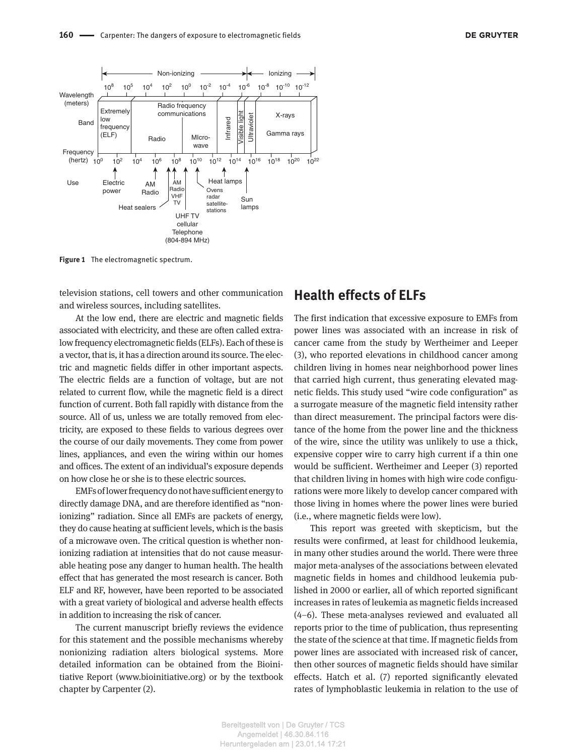

**Figure 1** The electromagnetic spectrum.

television stations, cell towers and other communication and wireless sources, including satellites.

At the low end, there are electric and magnetic fields associated with electricity, and these are often called extralow frequency electromagnetic fields (ELFs). Each of these is a vector, that is, it has a direction around its source. The electric and magnetic fields differ in other important aspects. The electric fields are a function of voltage, but are not related to current flow, while the magnetic field is a direct function of current. Both fall rapidly with distance from the source. All of us, unless we are totally removed from electricity, are exposed to these fields to various degrees over the course of our daily movements. They come from power lines, appliances, and even the wiring within our homes and offices. The extent of an individual's exposure depends on how close he or she is to these electric sources.

EMFs of lower frequency do not have sufficient energy to directly damage DNA, and are therefore identified as "nonionizing" radiation. Since all EMFs are packets of energy, they do cause heating at sufficient levels, which is the basis of a microwave oven. The critical question is whether nonionizing radiation at intensities that do not cause measurable heating pose any danger to human health. The health effect that has generated the most research is cancer. Both ELF and RF, however, have been reported to be associated with a great variety of biological and adverse health effects in addition to increasing the risk of cancer.

The current manuscript briefly reviews the evidence for this statement and the possible mechanisms whereby nonionizing radiation alters biological systems. More detailed information can be obtained from the Bioinitiative Report (<www.bioinitiative.org>) or by the textbook chapter by Carpenter (2).

### **Health effects of ELFs**

The first indication that excessive exposure to EMFs from power lines was associated with an increase in risk of cancer came from the study by Wertheimer and Leeper (3), who reported elevations in childhood cancer among children living in homes near neighborhood power lines that carried high current, thus generating elevated magnetic fields. This study used "wire code configuration" as a surrogate measure of the magnetic field intensity rather than direct measurement. The principal factors were distance of the home from the power line and the thickness of the wire, since the utility was unlikely to use a thick, expensive copper wire to carry high current if a thin one would be sufficient. Wertheimer and Leeper (3) reported that children living in homes with high wire code configurations were more likely to develop cancer compared with those living in homes where the power lines were buried (i.e., where magnetic fields were low).

This report was greeted with skepticism, but the results were confirmed, at least for childhood leukemia, in many other studies around the world. There were three major meta-analyses of the associations between elevated magnetic fields in homes and childhood leukemia published in 2000 or earlier, all of which reported significant increases in rates of leukemia as magnetic fields increased (4–6). These meta-analyses reviewed and evaluated all reports prior to the time of publication, thus representing the state of the science at that time. If magnetic fields from power lines are associated with increased risk of cancer, then other sources of magnetic fields should have similar effects. Hatch et al. (7) reported significantly elevated rates of lymphoblastic leukemia in relation to the use of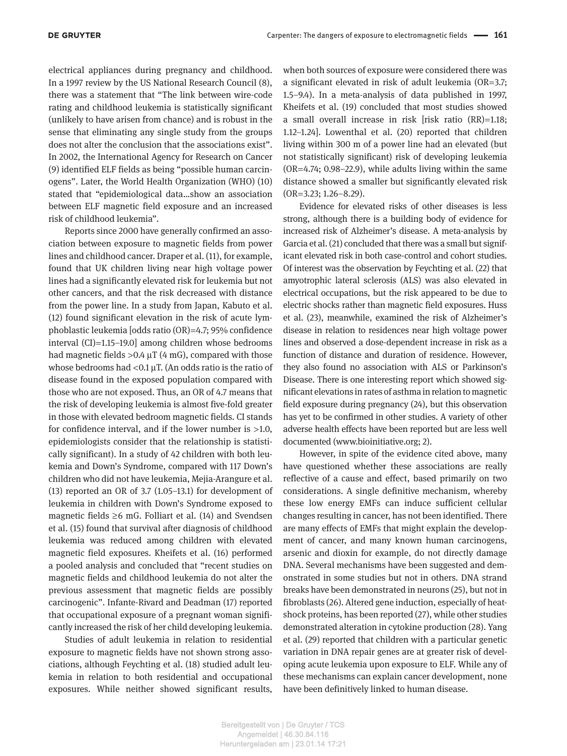electrical appliances during pregnancy and childhood. In a 1997 review by the US National Research Council (8), there was a statement that "The link between wire-code rating and childhood leukemia is statistically significant (unlikely to have arisen from chance) and is robust in the sense that eliminating any single study from the groups does not alter the conclusion that the associations exist". In 2002, the International Agency for Research on Cancer (9) identified ELF fields as being "possible human carcinogens". Later, the World Health Organization (WHO) (10) stated that "epidemiological data…show an association between ELF magnetic field exposure and an increased risk of childhood leukemia".

Reports since 2000 have generally confirmed an association between exposure to magnetic fields from power lines and childhood cancer. Draper et al. (11), for example, found that UK children living near high voltage power lines had a significantly elevated risk for leukemia but not other cancers, and that the risk decreased with distance from the power line. In a study from Japan, Kabuto et al. (12) found significant elevation in the risk of acute lymphoblastic leukemia [odds ratio (OR) = 4.7; 95% confidence interval (CI)=1.15-19.0] among children whose bedrooms had magnetic fields  $>0.4 \mu T$  (4 mG), compared with those whose bedrooms had  $< 0.1 \mu T$ . (An odds ratio is the ratio of disease found in the exposed population compared with those who are not exposed. Thus, an OR of 4.7 means that the risk of developing leukemia is almost five-fold greater in those with elevated bedroom magnetic fields. CI stands for confidence interval, and if the lower number is  $>1.0$ , epidemiologists consider that the relationship is statistically significant). In a study of 42 children with both leukemia and Down's Syndrome, compared with 117 Down's children who did not have leukemia, Mejia-Arangure et al. (13) reported an OR of 3.7 (1.05–13.1) for development of leukemia in children with Down's Syndrome exposed to magnetic fields  $\geq 6$  mG. Folliart et al. (14) and Svendsen et al. (15) found that survival after diagnosis of childhood leukemia was reduced among children with elevated magnetic field exposures. Kheifets et al. (16) performed a pooled analysis and concluded that "recent studies on magnetic fields and childhood leukemia do not alter the previous assessment that magnetic fields are possibly carcinogenic". Infante-Rivard and Deadman (17) reported that occupational exposure of a pregnant woman significantly increased the risk of her child developing leukemia.

Studies of adult leukemia in relation to residential exposure to magnetic fields have not shown strong associations, although Feychting et al. (18) studied adult leukemia in relation to both residential and occupational exposures. While neither showed significant results, when both sources of exposure were considered there was a significant elevated in risk of adult leukemia  $(OR=3.7;$ 1.5–9.4). In a meta-analysis of data published in 1997, Kheifets et al. (19) concluded that most studies showed a small overall increase in risk [risk ratio (RR)=1.18; 1.12–1.24]. Lowenthal et al. (20) reported that children living within 300 m of a power line had an elevated (but not statistically significant) risk of developing leukemia  $(OR=4.74; 0.98-22.9)$ , while adults living within the same distance showed a smaller but significantly elevated risk  $(OR=3.23; 1.26-8.29).$ 

Evidence for elevated risks of other diseases is less strong, although there is a building body of evidence for increased risk of Alzheimer's disease. A meta-analysis by Garcia et al. (21) concluded that there was a small but significant elevated risk in both case-control and cohort studies. Of interest was the observation by Feychting et al. (22) that amyotrophic lateral sclerosis (ALS) was also elevated in electrical occupations, but the risk appeared to be due to electric shocks rather than magnetic field exposures. Huss et al. (23), meanwhile, examined the risk of Alzheimer's disease in relation to residences near high voltage power lines and observed a dose-dependent increase in risk as a function of distance and duration of residence. However, they also found no association with ALS or Parkinson's Disease. There is one interesting report which showed significant elevations in rates of asthma in relation to magnetic field exposure during pregnancy (24), but this observation has yet to be confirmed in other studies. A variety of other adverse health effects have been reported but are less well documented [\(www.bioinitiative.org;](www.bioinitiative.org;) 2).

However, in spite of the evidence cited above, many have questioned whether these associations are really reflective of a cause and effect, based primarily on two considerations. A single definitive mechanism, whereby these low energy EMFs can induce sufficient cellular changes resulting in cancer, has not been identified. There are many effects of EMFs that might explain the development of cancer, and many known human carcinogens, arsenic and dioxin for example, do not directly damage DNA. Several mechanisms have been suggested and demonstrated in some studies but not in others. DNA strand breaks have been demonstrated in neurons (25), but not in fibroblasts (26). Altered gene induction, especially of heatshock proteins, has been reported (27), while other studies demonstrated alteration in cytokine production (28). Yang et al. (29) reported that children with a particular genetic variation in DNA repair genes are at greater risk of developing acute leukemia upon exposure to ELF. While any of these mechanisms can explain cancer development, none have been definitively linked to human disease.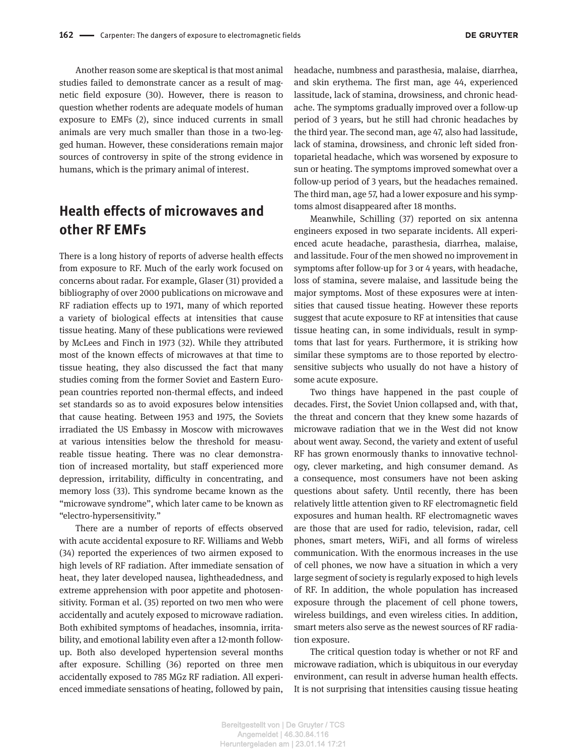Another reason some are skeptical is that most animal studies failed to demonstrate cancer as a result of magnetic field exposure (30). However, there is reason to question whether rodents are adequate models of human exposure to EMFs (2), since induced currents in small animals are very much smaller than those in a two-legged human. However, these considerations remain major sources of controversy in spite of the strong evidence in humans, which is the primary animal of interest.

# **Health effects of microwaves and other RF EMFs**

There is a long history of reports of adverse health effects from exposure to RF. Much of the early work focused on concerns about radar. For example, Glaser (31) provided a bibliography of over 2000 publications on microwave and RF radiation effects up to 1971, many of which reported a variety of biological effects at intensities that cause tissue heating. Many of these publications were reviewed by McLees and Finch in 1973 (32). While they attributed most of the known effects of microwaves at that time to tissue heating, they also discussed the fact that many studies coming from the former Soviet and Eastern European countries reported non-thermal effects, and indeed set standards so as to avoid exposures below intensities that cause heating. Between 1953 and 1975, the Soviets irradiated the US Embassy in Moscow with microwaves at various intensities below the threshold for measureable tissue heating. There was no clear demonstration of increased mortality, but staff experienced more depression, irritability, difficulty in concentrating, and memory loss (33). This syndrome became known as the "microwave syndrome", which later came to be known as "electro-hypersensitivity."

There are a number of reports of effects observed with acute accidental exposure to RF. Williams and Webb (34) reported the experiences of two airmen exposed to high levels of RF radiation. After immediate sensation of heat, they later developed nausea, lightheadedness, and extreme apprehension with poor appetite and photosensitivity. Forman et al. (35) reported on two men who were accidentally and acutely exposed to microwave radiation. Both exhibited symptoms of headaches, insomnia, irritability, and emotional lability even after a 12-month followup. Both also developed hypertension several months after exposure. Schilling (36) reported on three men accidentally exposed to 785 MGz RF radiation. All experienced immediate sensations of heating, followed by pain,

headache, numbness and parasthesia, malaise, diarrhea, and skin erythema. The first man, age 44, experienced lassitude, lack of stamina, drowsiness, and chronic headache. The symptoms gradually improved over a follow-up period of 3 years, but he still had chronic headaches by the third year. The second man, age 47, also had lassitude, lack of stamina, drowsiness, and chronic left sided frontoparietal headache, which was worsened by exposure to sun or heating. The symptoms improved somewhat over a follow-up period of 3 years, but the headaches remained. The third man, age 57, had a lower exposure and his symptoms almost disappeared after 18 months.

Meanwhile, Schilling (37) reported on six antenna engineers exposed in two separate incidents. All experienced acute headache, parasthesia, diarrhea, malaise, and lassitude. Four of the men showed no improvement in symptoms after follow-up for 3 or 4 years, with headache, loss of stamina, severe malaise, and lassitude being the major symptoms. Most of these exposures were at intensities that caused tissue heating. However these reports suggest that acute exposure to RF at intensities that cause tissue heating can, in some individuals, result in symptoms that last for years. Furthermore, it is striking how similar these symptoms are to those reported by electrosensitive subjects who usually do not have a history of some acute exposure.

Two things have happened in the past couple of decades. First, the Soviet Union collapsed and, with that, the threat and concern that they knew some hazards of microwave radiation that we in the West did not know about went away. Second, the variety and extent of useful RF has grown enormously thanks to innovative technology, clever marketing, and high consumer demand. As a consequence, most consumers have not been asking questions about safety. Until recently, there has been relatively little attention given to RF electromagnetic field exposures and human health. RF electromagnetic waves are those that are used for radio, television, radar, cell phones, smart meters, WiFi, and all forms of wireless communication. With the enormous increases in the use of cell phones, we now have a situation in which a very large segment of society is regularly exposed to high levels of RF. In addition, the whole population has increased exposure through the placement of cell phone towers, wireless buildings, and even wireless cities. In addition, smart meters also serve as the newest sources of RF radiation exposure.

The critical question today is whether or not RF and microwave radiation, which is ubiquitous in our everyday environment, can result in adverse human health effects. It is not surprising that intensities causing tissue heating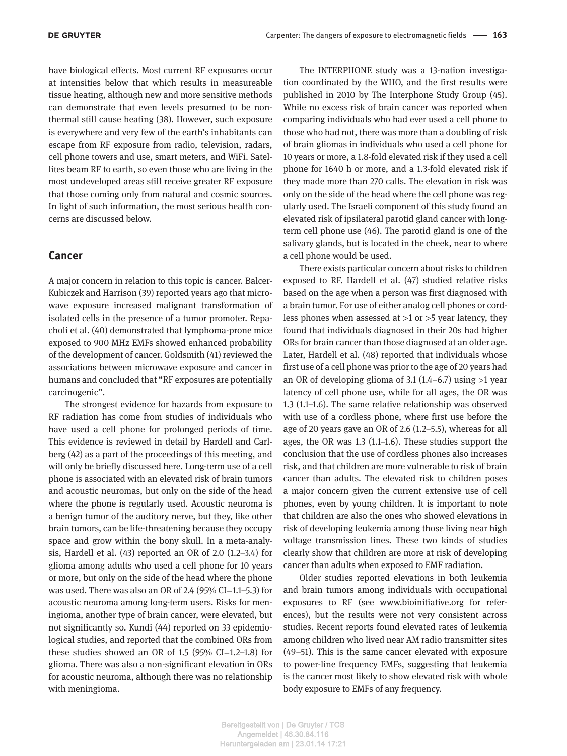have biological effects. Most current RF exposures occur at intensities below that which results in measureable tissue heating, although new and more sensitive methods can demonstrate that even levels presumed to be nonthermal still cause heating (38). However, such exposure is everywhere and very few of the earth's inhabitants can escape from RF exposure from radio, television, radars, cell phone towers and use, smart meters, and WiFi. Satellites beam RF to earth, so even those who are living in the most undeveloped areas still receive greater RF exposure that those coming only from natural and cosmic sources. In light of such information, the most serious health concerns are discussed below.

#### **Cancer**

A major concern in relation to this topic is cancer. Balcer-Kubiczek and Harrison (39) reported years ago that microwave exposure increased malignant transformation of isolated cells in the presence of a tumor promoter. Repacholi et al. (40) demonstrated that lymphoma-prone mice exposed to 900 MHz EMFs showed enhanced probability of the development of cancer. Goldsmith (41) reviewed the associations between microwave exposure and cancer in humans and concluded that "RF exposures are potentially carcinogenic".

The strongest evidence for hazards from exposure to RF radiation has come from studies of individuals who have used a cell phone for prolonged periods of time. This evidence is reviewed in detail by Hardell and Carlberg (42) as a part of the proceedings of this meeting, and will only be briefly discussed here. Long-term use of a cell phone is associated with an elevated risk of brain tumors and acoustic neuromas, but only on the side of the head where the phone is regularly used. Acoustic neuroma is a benign tumor of the auditory nerve, but they, like other brain tumors, can be life-threatening because they occupy space and grow within the bony skull. In a meta-analysis, Hardell et al. (43) reported an OR of 2.0 (1.2–3.4) for glioma among adults who used a cell phone for 10 years or more, but only on the side of the head where the phone was used. There was also an OR of 2.4 (95% CI=1.1-5.3) for acoustic neuroma among long-term users. Risks for meningioma, another type of brain cancer, were elevated, but not significantly so. Kundi (44) reported on 33 epidemiological studies, and reported that the combined ORs from these studies showed an OR of 1.5 (95% CI=1.2–1.8) for glioma. There was also a non-significant elevation in ORs for acoustic neuroma, although there was no relationship with meningioma.

The INTERPHONE study was a 13-nation investigation coordinated by the WHO, and the first results were published in 2010 by The Interphone Study Group (45). While no excess risk of brain cancer was reported when comparing individuals who had ever used a cell phone to those who had not, there was more than a doubling of risk of brain gliomas in individuals who used a cell phone for 10 years or more, a 1.8-fold elevated risk if they used a cell phone for 1640 h or more, and a 1.3-fold elevated risk if they made more than 270 calls. The elevation in risk was only on the side of the head where the cell phone was regularly used. The Israeli component of this study found an elevated risk of ipsilateral parotid gland cancer with longterm cell phone use (46). The parotid gland is one of the salivary glands, but is located in the cheek, near to where a cell phone would be used.

There exists particular concern about risks to children exposed to RF. Hardell et al. (47) studied relative risks based on the age when a person was first diagnosed with a brain tumor. For use of either analog cell phones or cordless phones when assessed at  $>1$  or  $>5$  year latency, they found that individuals diagnosed in their 20s had higher ORs for brain cancer than those diagnosed at an older age. Later, Hardell et al. (48) reported that individuals whose first use of a cell phone was prior to the age of 20 years had an OR of developing glioma of 3.1 (1.4–6.7) using  $>1$  year latency of cell phone use, while for all ages, the OR was 1.3 (1.1–1.6). The same relative relationship was observed with use of a cordless phone, where first use before the age of 20 years gave an OR of 2.6 (1.2–5.5), whereas for all ages, the OR was 1.3 (1.1–1.6). These studies support the conclusion that the use of cordless phones also increases risk, and that children are more vulnerable to risk of brain cancer than adults. The elevated risk to children poses a major concern given the current extensive use of cell phones, even by young children. It is important to note that children are also the ones who showed elevations in risk of developing leukemia among those living near high voltage transmission lines. These two kinds of studies clearly show that children are more at risk of developing cancer than adults when exposed to EMF radiation.

Older studies reported elevations in both leukemia and brain tumors among individuals with occupational exposures to RF (see <www.bioinitiative.org> for references), but the results were not very consistent across studies. Recent reports found elevated rates of leukemia among children who lived near AM radio transmitter sites (49–51). This is the same cancer elevated with exposure to power-line frequency EMFs, suggesting that leukemia is the cancer most likely to show elevated risk with whole body exposure to EMFs of any frequency.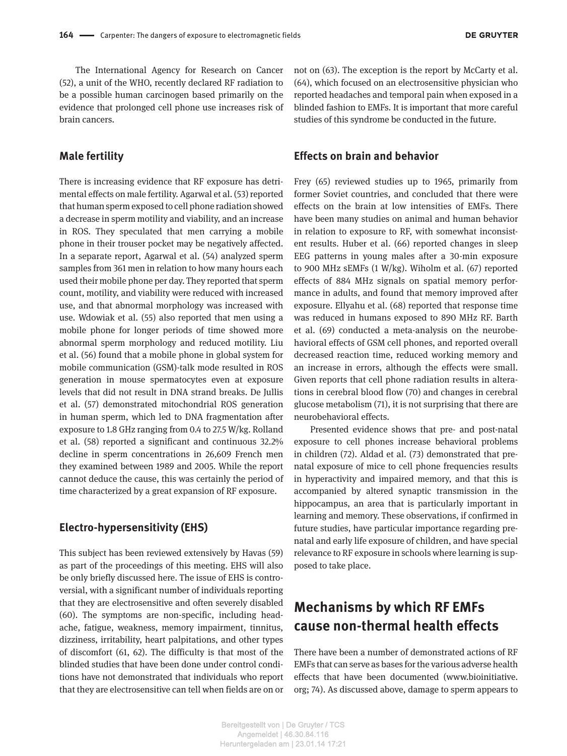The International Agency for Research on Cancer (52), a unit of the WHO, recently declared RF radiation to be a possible human carcinogen based primarily on the evidence that prolonged cell phone use increases risk of brain cancers.

#### **Male fertility**

There is increasing evidence that RF exposure has detrimental effects on male fertility. Agarwal et al. (53) reported that human sperm exposed to cell phone radiation showed a decrease in sperm motility and viability, and an increase in ROS. They speculated that men carrying a mobile phone in their trouser pocket may be negatively affected. In a separate report, Agarwal et al. (54) analyzed sperm samples from 361 men in relation to how many hours each used their mobile phone per day. They reported that sperm count, motility, and viability were reduced with increased use, and that abnormal morphology was increased with use. Wdowiak et al. (55) also reported that men using a mobile phone for longer periods of time showed more abnormal sperm morphology and reduced motility. Liu et al. (56) found that a mobile phone in global system for mobile communication (GSM)-talk mode resulted in ROS generation in mouse spermatocytes even at exposure levels that did not result in DNA strand breaks. De Jullis et al. (57) demonstrated mitochondrial ROS generation in human sperm, which led to DNA fragmentation after exposure to 1.8 GHz ranging from 0.4 to 27.5 W/kg. Rolland et al. (58) reported a significant and continuous 32.2% decline in sperm concentrations in 26,609 French men they examined between 1989 and 2005. While the report cannot deduce the cause, this was certainly the period of time characterized by a great expansion of RF exposure.

### **Electro-hypersensitivity (EHS)**

This subject has been reviewed extensively by Havas (59) as part of the proceedings of this meeting. EHS will also be only briefly discussed here. The issue of EHS is controversial, with a significant number of individuals reporting that they are electrosensitive and often severely disabled (60). The symptoms are non-specific, including headache, fatigue, weakness, memory impairment, tinnitus, dizziness, irritability, heart palpitations, and other types of discomfort (61, 62). The difficulty is that most of the blinded studies that have been done under control conditions have not demonstrated that individuals who report that they are electrosensitive can tell when fields are on or

not on (63). The exception is the report by McCarty et al. (64), which focused on an electrosensitive physician who reported headaches and temporal pain when exposed in a blinded fashion to EMFs. It is important that more careful studies of this syndrome be conducted in the future.

### **Effects on brain and behavior**

Frey (65) reviewed studies up to 1965, primarily from former Soviet countries, and concluded that there were effects on the brain at low intensities of EMFs. There have been many studies on animal and human behavior in relation to exposure to RF, with somewhat inconsistent results. Huber et al. (66) reported changes in sleep EEG patterns in young males after a 30-min exposure to 900 MHz sEMFs (1 W/kg). Wiholm et al. (67) reported effects of 884 MHz signals on spatial memory performance in adults, and found that memory improved after exposure. Ellyahu et al. (68) reported that response time was reduced in humans exposed to 890 MHz RF. Barth et al. (69) conducted a meta-analysis on the neurobehavioral effects of GSM cell phones, and reported overall decreased reaction time, reduced working memory and an increase in errors, although the effects were small. Given reports that cell phone radiation results in alterations in cerebral blood flow (70) and changes in cerebral glucose metabolism (71), it is not surprising that there are neurobehavioral effects.

Presented evidence shows that pre- and post-natal exposure to cell phones increase behavioral problems in children (72). Aldad et al. (73) demonstrated that prenatal exposure of mice to cell phone frequencies results in hyperactivity and impaired memory, and that this is accompanied by altered synaptic transmission in the hippocampus, an area that is particularly important in learning and memory. These observations, if confirmed in future studies, have particular importance regarding prenatal and early life exposure of children, and have special relevance to RF exposure in schools where learning is supposed to take place.

# **Mechanisms by which RF EMFs cause non-thermal health effects**

There have been a number of demonstrated actions of RF EMFs that can serve as bases for the various adverse health effects that have been documented [\(www.bioinitiative.](www.bioinitiative.org;) [org;](www.bioinitiative.org;) 74). As discussed above, damage to sperm appears to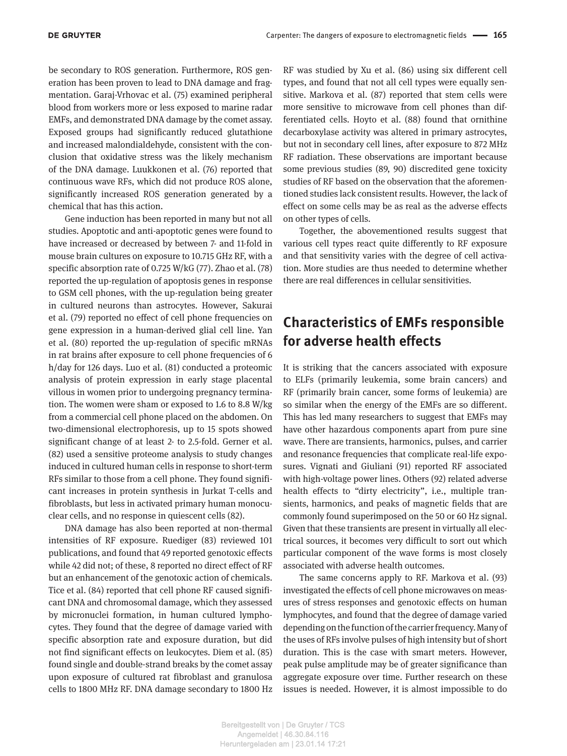be secondary to ROS generation. Furthermore, ROS generation has been proven to lead to DNA damage and fragmentation. Garaj-Vrhovac et al. (75) examined peripheral blood from workers more or less exposed to marine radar EMFs, and demonstrated DNA damage by the comet assay. Exposed groups had significantly reduced glutathione and increased malondialdehyde, consistent with the conclusion that oxidative stress was the likely mechanism of the DNA damage. Luukkonen et al. (76) reported that continuous wave RFs, which did not produce ROS alone, significantly increased ROS generation generated by a chemical that has this action.

Gene induction has been reported in many but not all studies. Apoptotic and anti-apoptotic genes were found to have increased or decreased by between 7- and 11-fold in mouse brain cultures on exposure to 10.715 GHz RF, with a specific absorption rate of 0.725 W/kG (77). Zhao et al. (78) reported the up-regulation of apoptosis genes in response to GSM cell phones, with the up-regulation being greater in cultured neurons than astrocytes. However, Sakurai et al. (79) reported no effect of cell phone frequencies on gene expression in a human-derived glial cell line. Yan et al. (80) reported the up-regulation of specific mRNAs in rat brains after exposure to cell phone frequencies of 6 h/day for 126 days. Luo et al. (81) conducted a proteomic analysis of protein expression in early stage placental villous in women prior to undergoing pregnancy termination. The women were sham or exposed to 1.6 to 8.8 W/kg from a commercial cell phone placed on the abdomen. On two-dimensional electrophoresis, up to 15 spots showed significant change of at least 2- to 2.5-fold. Gerner et al. (82) used a sensitive proteome analysis to study changes induced in cultured human cells in response to short-term RFs similar to those from a cell phone. They found significant increases in protein synthesis in Jurkat T-cells and fibroblasts, but less in activated primary human monocuclear cells, and no response in quiescent cells (82).

DNA damage has also been reported at non-thermal intensities of RF exposure. Ruediger (83) reviewed 101 publications, and found that 49 reported genotoxic effects while 42 did not; of these, 8 reported no direct effect of RF but an enhancement of the genotoxic action of chemicals. Tice et al. (84) reported that cell phone RF caused significant DNA and chromosomal damage, which they assessed by micronuclei formation, in human cultured lymphocytes. They found that the degree of damage varied with specific absorption rate and exposure duration, but did not find significant effects on leukocytes. Diem et al. (85) found single and double-strand breaks by the comet assay upon exposure of cultured rat fibroblast and granulosa cells to 1800 MHz RF. DNA damage secondary to 1800 Hz

RF was studied by Xu et al. (86) using six different cell types, and found that not all cell types were equally sensitive. Markova et al. (87) reported that stem cells were more sensitive to microwave from cell phones than differentiated cells. Hoyto et al. (88) found that ornithine decarboxylase activity was altered in primary astrocytes, but not in secondary cell lines, after exposure to 872 MHz RF radiation. These observations are important because some previous studies (89, 90) discredited gene toxicity studies of RF based on the observation that the aforementioned studies lack consistent results. However, the lack of effect on some cells may be as real as the adverse effects on other types of cells.

Together, the abovementioned results suggest that various cell types react quite differently to RF exposure and that sensitivity varies with the degree of cell activation. More studies are thus needed to determine whether there are real differences in cellular sensitivities.

# **Characteristics of EMFs responsible for adverse health effects**

It is striking that the cancers associated with exposure to ELFs (primarily leukemia, some brain cancers) and RF (primarily brain cancer, some forms of leukemia) are so similar when the energy of the EMFs are so different. This has led many researchers to suggest that EMFs may have other hazardous components apart from pure sine wave. There are transients, harmonics, pulses, and carrier and resonance frequencies that complicate real-life exposures. Vignati and Giuliani (91) reported RF associated with high-voltage power lines. Others (92) related adverse health effects to "dirty electricity", i.e., multiple transients, harmonics, and peaks of magnetic fields that are commonly found superimposed on the 50 or 60 Hz signal. Given that these transients are present in virtually all electrical sources, it becomes very difficult to sort out which particular component of the wave forms is most closely associated with adverse health outcomes.

The same concerns apply to RF. Markova et al. (93) investigated the effects of cell phone microwaves on measures of stress responses and genotoxic effects on human lymphocytes, and found that the degree of damage varied depending on the function of the carrier frequency. Many of the uses of RFs involve pulses of high intensity but of short duration. This is the case with smart meters. However, peak pulse amplitude may be of greater significance than aggregate exposure over time. Further research on these issues is needed. However, it is almost impossible to do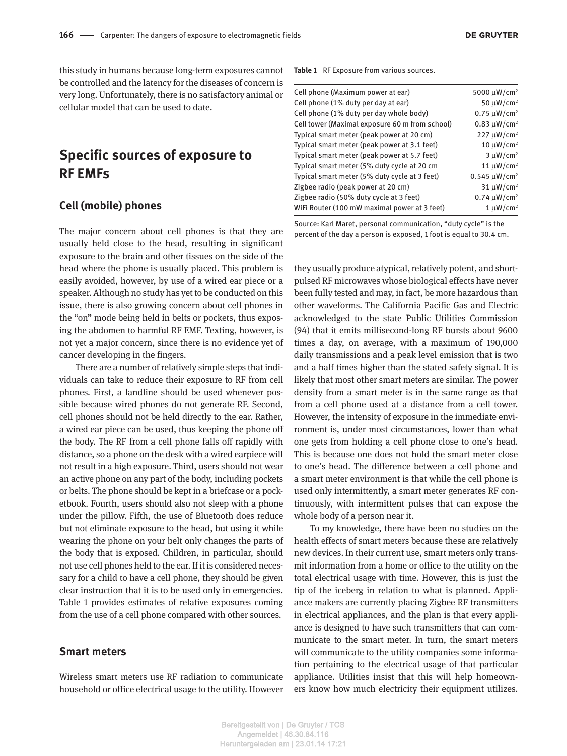this study in humans because long-term exposures cannot be controlled and the latency for the diseases of concern is very long. Unfortunately, there is no satisfactory animal or cellular model that can be used to date.

## **Specific sources of exposure to RF EMFs**

#### **Cell (mobile) phones**

The major concern about cell phones is that they are usually held close to the head, resulting in significant exposure to the brain and other tissues on the side of the head where the phone is usually placed. This problem is easily avoided, however, by use of a wired ear piece or a speaker. Although no study has yet to be conducted on this issue, there is also growing concern about cell phones in the "on" mode being held in belts or pockets, thus exposing the abdomen to harmful RF EMF. Texting, however, is not yet a major concern, since there is no evidence yet of cancer developing in the fingers.

There are a number of relatively simple steps that individuals can take to reduce their exposure to RF from cell phones. First, a landline should be used whenever possible because wired phones do not generate RF. Second, cell phones should not be held directly to the ear. Rather, a wired ear piece can be used, thus keeping the phone off the body. The RF from a cell phone falls off rapidly with distance, so a phone on the desk with a wired earpiece will not result in a high exposure. Third, users should not wear an active phone on any part of the body, including pockets or belts. The phone should be kept in a briefcase or a pocketbook. Fourth, users should also not sleep with a phone under the pillow. Fifth, the use of Bluetooth does reduce but not eliminate exposure to the head, but using it while wearing the phone on your belt only changes the parts of the body that is exposed. Children, in particular, should not use cell phones held to the ear. If it is considered necessary for a child to have a cell phone, they should be given clear instruction that it is to be used only in emergencies. Table 1 provides estimates of relative exposures coming from the use of a cell phone compared with other sources.

### **Smart meters**

Wireless smart meters use RF radiation to communicate household or office electrical usage to the utility. However **Table 1** RF Exposure from various sources.

| Cell phone (Maximum power at ear)              | 5000 μW/cm <sup>2</sup>      |
|------------------------------------------------|------------------------------|
| Cell phone (1% duty per day at ear)            | 50 $\mu$ W/cm <sup>2</sup>   |
| Cell phone (1% duty per day whole body)        | 0.75 $\mu$ W/cm <sup>2</sup> |
| Cell tower (Maximal exposure 60 m from school) | $0.83 \text{ µW/cm}^2$       |
| Typical smart meter (peak power at 20 cm)      | 227 µW/cm <sup>2</sup>       |
| Typical smart meter (peak power at 3.1 feet)   | $10 \mu W/cm^2$              |
| Typical smart meter (peak power at 5.7 feet)   | $3 \mu W/cm^2$               |
| Typical smart meter (5% duty cycle at 20 cm    | $11 \mu W/cm^2$              |
| Typical smart meter (5% duty cycle at 3 feet)  | $0.545 \mu W/cm^2$           |
| Zigbee radio (peak power at 20 cm)             | $31 \mu W/cm^2$              |
| Zigbee radio (50% duty cycle at 3 feet)        | $0.74 \mu W/cm^2$            |
| WiFi Router (100 mW maximal power at 3 feet)   | $1 \mu W/cm^2$               |
|                                                |                              |

Source: Karl Maret, personal communication, "duty cycle" is the percent of the day a person is exposed, 1 foot is equal to 30.4 cm.

they usually produce atypical, relatively potent, and shortpulsed RF microwaves whose biological effects have never been fully tested and may, in fact, be more hazardous than other waveforms. The California Pacific Gas and Electric acknowledged to the state Public Utilities Commission (94) that it emits millisecond-long RF bursts about 9600 times a day, on average, with a maximum of 190,000 daily transmissions and a peak level emission that is two and a half times higher than the stated safety signal. It is likely that most other smart meters are similar. The power density from a smart meter is in the same range as that from a cell phone used at a distance from a cell tower. However, the intensity of exposure in the immediate environment is, under most circumstances, lower than what one gets from holding a cell phone close to one's head. This is because one does not hold the smart meter close to one's head. The difference between a cell phone and a smart meter environment is that while the cell phone is used only intermittently, a smart meter generates RF continuously, with intermittent pulses that can expose the whole body of a person near it.

To my knowledge, there have been no studies on the health effects of smart meters because these are relatively new devices. In their current use, smart meters only transmit information from a home or office to the utility on the total electrical usage with time. However, this is just the tip of the iceberg in relation to what is planned. Appliance makers are currently placing Zigbee RF transmitters in electrical appliances, and the plan is that every appliance is designed to have such transmitters that can communicate to the smart meter. In turn, the smart meters will communicate to the utility companies some information pertaining to the electrical usage of that particular appliance. Utilities insist that this will help homeowners know how much electricity their equipment utilizes.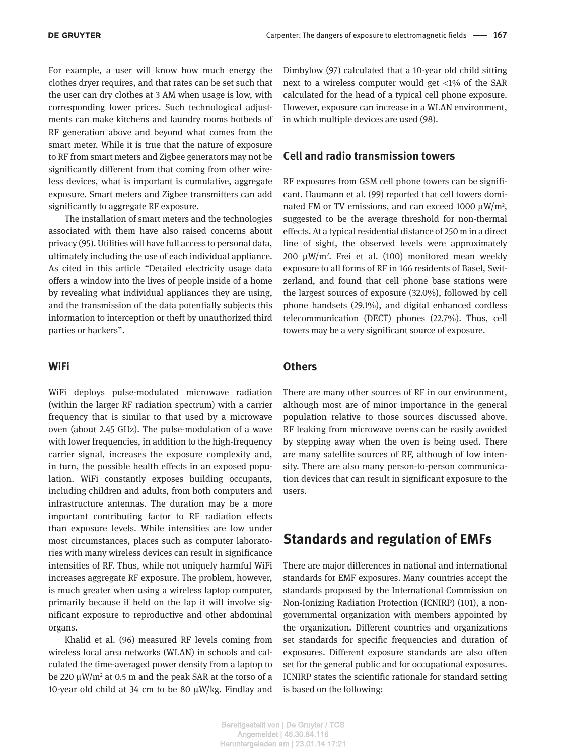For example, a user will know how much energy the clothes dryer requires, and that rates can be set such that the user can dry clothes at 3 AM when usage is low, with corresponding lower prices. Such technological adjustments can make kitchens and laundry rooms hotbeds of RF generation above and beyond what comes from the smart meter. While it is true that the nature of exposure to RF from smart meters and Zigbee generators may not be significantly different from that coming from other wireless devices, what is important is cumulative, aggregate exposure. Smart meters and Zigbee transmitters can add significantly to aggregate RF exposure.

The installation of smart meters and the technologies associated with them have also raised concerns about privacy (95). Utilities will have full access to personal data, ultimately including the use of each individual appliance. As cited in this article "Detailed electricity usage data offers a window into the lives of people inside of a home by revealing what individual appliances they are using, and the transmission of the data potentially subjects this information to interception or theft by unauthorized third parties or hackers".

#### **WiFi**

WiFi deploys pulse-modulated microwave radiation (within the larger RF radiation spectrum) with a carrier frequency that is similar to that used by a microwave oven (about 2.45 GHz). The pulse-modulation of a wave with lower frequencies, in addition to the high-frequency carrier signal, increases the exposure complexity and, in turn, the possible health effects in an exposed population. WiFi constantly exposes building occupants, including children and adults, from both computers and infrastructure antennas. The duration may be a more important contributing factor to RF radiation effects than exposure levels. While intensities are low under most circumstances, places such as computer laboratories with many wireless devices can result in significance intensities of RF. Thus, while not uniquely harmful WiFi increases aggregate RF exposure. The problem, however, is much greater when using a wireless laptop computer, primarily because if held on the lap it will involve significant exposure to reproductive and other abdominal organs.

Khalid et al. (96) measured RF levels coming from wireless local area networks (WLAN) in schools and calculated the time-averaged power density from a laptop to be 220  $\mu$ W/m<sup>2</sup> at 0.5 m and the peak SAR at the torso of a 10-year old child at 34 cm to be 80  $\mu$ W/kg. Findlay and

Dimbylow (97) calculated that a 10-year old child sitting next to a wireless computer would get  $\langle 1\%$  of the SAR calculated for the head of a typical cell phone exposure. However, exposure can increase in a WLAN environment, in which multiple devices are used (98).

### **Cell and radio transmission towers**

RF exposures from GSM cell phone towers can be significant. Haumann et al. (99) reported that cell towers dominated FM or TV emissions, and can exceed 1000  $\mu$ W/m<sup>2</sup>, suggested to be the average threshold for non-thermal effects. At a typical residential distance of 250 m in a direct line of sight, the observed levels were approximately 200 μW/m2 . Frei et al. (100) monitored mean weekly exposure to all forms of RF in 166 residents of Basel, Switzerland, and found that cell phone base stations were the largest sources of exposure (32.0%), followed by cell phone handsets (29.1%), and digital enhanced cordless telecommunication (DECT) phones (22.7%). Thus, cell towers may be a very significant source of exposure.

#### **Others**

There are many other sources of RF in our environment, although most are of minor importance in the general population relative to those sources discussed above. RF leaking from microwave ovens can be easily avoided by stepping away when the oven is being used. There are many satellite sources of RF, although of low intensity. There are also many person-to-person communication devices that can result in significant exposure to the users.

### **Standards and regulation of EMFs**

There are major differences in national and international standards for EMF exposures. Many countries accept the standards proposed by the International Commission on Non-Ionizing Radiation Protection (ICNIRP) (101), a nongovernmental organization with members appointed by the organization. Different countries and organizations set standards for specific frequencies and duration of exposures. Different exposure standards are also often set for the general public and for occupational exposures. ICNIRP states the scientific rationale for standard setting is based on the following: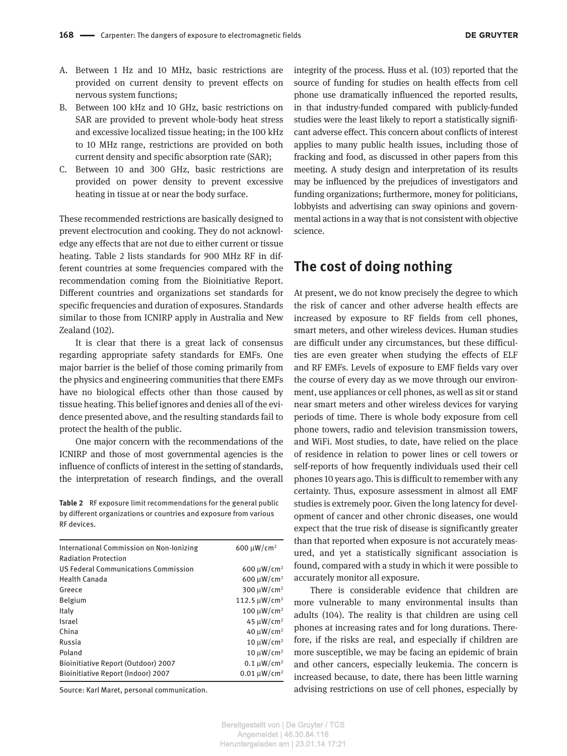- A. Between 1 Hz and 10 MHz, basic restrictions are provided on current density to prevent effects on nervous system functions;
- B. Between 100 kHz and 10 GHz, basic restrictions on SAR are provided to prevent whole-body heat stress and excessive localized tissue heating; in the 100 kHz to 10 MHz range, restrictions are provided on both current density and specific absorption rate (SAR);
- C. Between 10 and 300 GHz, basic restrictions are provided on power density to prevent excessive heating in tissue at or near the body surface.

These recommended restrictions are basically designed to prevent electrocution and cooking. They do not acknowledge any effects that are not due to either current or tissue heating. Table 2 lists standards for 900 MHz RF in different countries at some frequencies compared with the recommendation coming from the Bioinitiative Report. Different countries and organizations set standards for specific frequencies and duration of exposures. Standards similar to those from ICNIRP apply in Australia and New Zealand (102).

It is clear that there is a great lack of consensus regarding appropriate safety standards for EMFs. One major barrier is the belief of those coming primarily from the physics and engineering communities that there EMFs have no biological effects other than those caused by tissue heating. This belief ignores and denies all of the evidence presented above, and the resulting standards fail to protect the health of the public.

One major concern with the recommendations of the ICNIRP and those of most governmental agencies is the influence of conflicts of interest in the setting of standards, the interpretation of research findings, and the overall

**Table 2** RF exposure limit recommendations for the general public by different organizations or countries and exposure from various RF devices.

| International Commission on Non-Ionizing    | 600 $\mu$ W/cm <sup>2</sup>   |
|---------------------------------------------|-------------------------------|
| <b>Radiation Protection</b>                 |                               |
| <b>US Federal Communications Commission</b> | 600 $\mu$ W/cm <sup>2</sup>   |
| <b>Health Canada</b>                        | 600 µW/cm <sup>2</sup>        |
| Greece                                      | 300 $\mu$ W/cm <sup>2</sup>   |
| <b>Belgium</b>                              | 112.5 $\mu$ W/cm <sup>2</sup> |
| Italy                                       | $100 \mu W/cm^2$              |
| Israel                                      | $45 \mu W/cm^2$               |
| China                                       | 40 $\mu$ W/cm <sup>2</sup>    |
| Russia                                      | $10 \mu W/cm^2$               |
| Poland                                      | $10 \mu W/cm^2$               |
| Bioinitiative Report (Outdoor) 2007         | $0.1 \mu W/cm^2$              |
| Bioinitiative Report (Indoor) 2007          | $0.01 \mu W/cm^2$             |

Source: Karl Maret, personal communication.

integrity of the process. Huss et al. (103) reported that the source of funding for studies on health effects from cell phone use dramatically influenced the reported results, in that industry-funded compared with publicly-funded studies were the least likely to report a statistically significant adverse effect. This concern about conflicts of interest applies to many public health issues, including those of fracking and food, as discussed in other papers from this meeting. A study design and interpretation of its results may be influenced by the prejudices of investigators and funding organizations; furthermore, money for politicians, lobbyists and advertising can sway opinions and governmental actions in a way that is not consistent with objective science.

### **The cost of doing nothing**

At present, we do not know precisely the degree to which the risk of cancer and other adverse health effects are increased by exposure to RF fields from cell phones, smart meters, and other wireless devices. Human studies are difficult under any circumstances, but these difficulties are even greater when studying the effects of ELF and RF EMFs. Levels of exposure to EMF fields vary over the course of every day as we move through our environment, use appliances or cell phones, as well as sit or stand near smart meters and other wireless devices for varying periods of time. There is whole body exposure from cell phone towers, radio and television transmission towers, and WiFi. Most studies, to date, have relied on the place of residence in relation to power lines or cell towers or self-reports of how frequently individuals used their cell phones 10 years ago. This is difficult to remember with any certainty. Thus, exposure assessment in almost all EMF studies is extremely poor. Given the long latency for development of cancer and other chronic diseases, one would expect that the true risk of disease is significantly greater than that reported when exposure is not accurately measured, and yet a statistically significant association is found, compared with a study in which it were possible to accurately monitor all exposure.

There is considerable evidence that children are more vulnerable to many environmental insults than adults (104). The reality is that children are using cell phones at increasing rates and for long durations. Therefore, if the risks are real, and especially if children are more susceptible, we may be facing an epidemic of brain and other cancers, especially leukemia. The concern is increased because, to date, there has been little warning advising restrictions on use of cell phones, especially by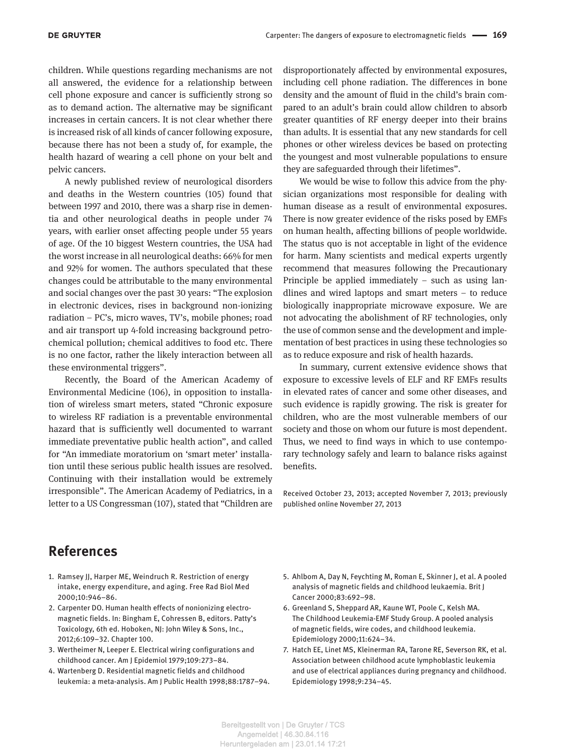children. While questions regarding mechanisms are not all answered, the evidence for a relationship between cell phone exposure and cancer is sufficiently strong so as to demand action. The alternative may be significant increases in certain cancers. It is not clear whether there is increased risk of all kinds of cancer following exposure, because there has not been a study of, for example, the health hazard of wearing a cell phone on your belt and pelvic cancers.

A newly published review of neurological disorders and deaths in the Western countries (105) found that between 1997 and 2010, there was a sharp rise in dementia and other neurological deaths in people under 74 years, with earlier onset affecting people under 55 years of age. Of the 10 biggest Western countries, the USA had the worst increase in all neurological deaths: 66% for men and 92% for women. The authors speculated that these changes could be attributable to the many environmental and social changes over the past 30 years: "The explosion in electronic devices, rises in background non-ionizing radiation – PC's, micro waves, TV's, mobile phones; road and air transport up 4-fold increasing background petrochemical pollution; chemical additives to food etc. There is no one factor, rather the likely interaction between all these environmental triggers".

Recently, the Board of the American Academy of Environmental Medicine (106), in opposition to installation of wireless smart meters, stated "Chronic exposure to wireless RF radiation is a preventable environmental hazard that is sufficiently well documented to warrant immediate preventative public health action", and called for "An immediate moratorium on 'smart meter' installation until these serious public health issues are resolved. Continuing with their installation would be extremely irresponsible". The American Academy of Pediatrics, in a letter to a US Congressman (107), stated that "Children are

disproportionately affected by environmental exposures, including cell phone radiation. The differences in bone density and the amount of fluid in the child's brain compared to an adult's brain could allow children to absorb greater quantities of RF energy deeper into their brains than adults. It is essential that any new standards for cell phones or other wireless devices be based on protecting the youngest and most vulnerable populations to ensure they are safeguarded through their lifetimes".

We would be wise to follow this advice from the physician organizations most responsible for dealing with human disease as a result of environmental exposures. There is now greater evidence of the risks posed by EMFs on human health, affecting billions of people worldwide. The status quo is not acceptable in light of the evidence for harm. Many scientists and medical experts urgently recommend that measures following the Precautionary Principle be applied immediately – such as using landlines and wired laptops and smart meters – to reduce biologically inappropriate microwave exposure. We are not advocating the abolishment of RF technologies, only the use of common sense and the development and implementation of best practices in using these technologies so as to reduce exposure and risk of health hazards.

In summary, current extensive evidence shows that exposure to excessive levels of ELF and RF EMFs results in elevated rates of cancer and some other diseases, and such evidence is rapidly growing. The risk is greater for children, who are the most vulnerable members of our society and those on whom our future is most dependent. Thus, we need to find ways in which to use contemporary technology safely and learn to balance risks against benefits.

Received October 23, 2013; accepted November 7, 2013; previously published online November 27, 2013

## **References**

- 1. Ramsey JJ, Harper ME, Weindruch R. Restriction of energy intake, energy expenditure, and aging. Free Rad Biol Med 2000;10:946–86.
- 2. Carpenter DO. Human health effects of nonionizing electromagnetic fields. In: Bingham E, Cohressen B, editors. Patty's Toxicology, 6th ed. Hoboken, NJ: John Wiley & Sons, Inc., 2012;6:109–32. Chapter 100.
- 3. Wertheimer N, Leeper E. Electrical wiring configurations and childhood cancer. Am J Epidemiol 1979;109:273–84.
- 4. Wartenberg D. Residential magnetic fields and childhood leukemia: a meta-analysis. Am J Public Health 1998;88:1787–94.
- 5. Ahlbom A, Day N, Feychting M, Roman E, Skinner J, et al. A pooled analysis of magnetic fields and childhood leukaemia. Brit J Cancer 2000;83:692–98.
- 6. Greenland S, Sheppard AR, Kaune WT, Poole C, Kelsh MA. The Childhood Leukemia-EMF Study Group. A pooled analysis of magnetic fields, wire codes, and childhood leukemia. Epidemiology 2000;11:624–34.
- 7. Hatch EE, Linet MS, Kleinerman RA, Tarone RE, Severson RK, et al. Association between childhood acute lymphoblastic leukemia and use of electrical appliances during pregnancy and childhood. Epidemiology 1998;9:234–45.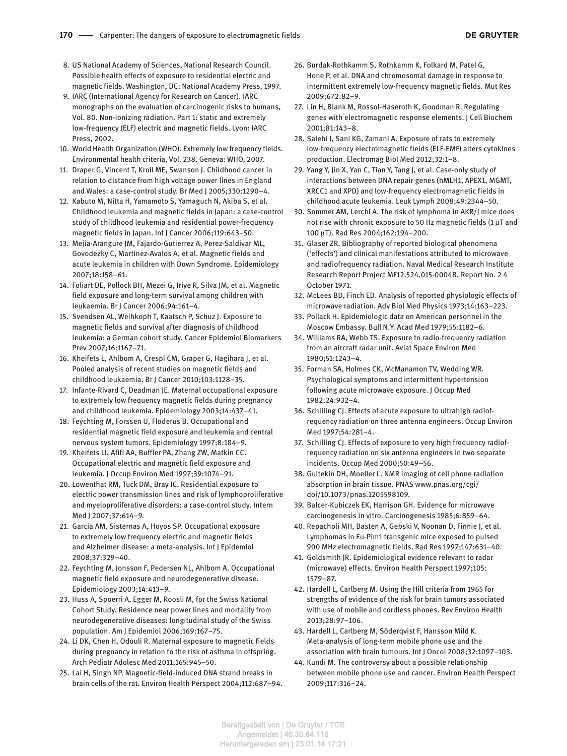- 8. US National Academy of Sciences, National Research Council. Possible health effects of exposure to residential electric and magnetic fields. Washington, DC: National Academy Press, 1997.
- 9. IARC (International Agency for Research on Cancer). IARC monographs on the evaluation of carcinogenic risks to humans, Vol. 80. Non-ionizing radiation. Part 1: static and extremely low-frequency (ELF) electric and magnetic fields. Lyon: IARC Press, 2002.
- 10. World Health Organization (WHO). Extremely low frequency fields. Environmental health criteria, Vol. 238. Geneva: WHO, 2007.
- 11. Draper G, Vincent T, Kroll ME, Swanson J. Childhood cancer in relation to distance from high voltage power lines in England and Wales: a case-control study. Br Med J 2005;330:1290–4.
- 12. Kabuto M, Nitta H, Yamamoto S, Yamaguch N, Akiba S, et al. Childhood leukemia and magnetic fields in Japan: a case-control study of childhood leukemia and residential power-frequency magnetic fields in Japan. Int J Cancer 2006;119:643–50.
- 13. Mejia-Arangure JM, Fajardo-Gutierrez A, Perez-Saldivar ML, Govodezky C, Martinez-Avalos A, et al. Magnetic fields and acute leukemia in children with Down Syndrome. Epidemiology 2007;18:158–61.
- 14. Foliart DE, Pollock BH, Mezei G, Iriye R, Silva JM, et al. Magnetic field exposure and long-term survival among children with leukaemia. Br J Cancer 2006;94:161–4.
- 15. Svendsen AL, Weihkoph T, Kaatsch P, Schuz J. Exposure to magnetic fields and survival after diagnosis of childhood leukemia: a German cohort study. Cancer Epidemiol Biomarkers Prev 2007;16:1167–71.
- 16. Kheifets L, Ahlbom A, Crespi CM, Graper G, Hagihara J, et al. Pooled analysis of recent studies on magnetic fields and childhood leukaemia. Br J Cancer 2010;103:1128–35.
- 17. Infante-Rivard C, Deadman JE. Maternal occupational exposure to extremely low frequency magnetic fields during pregnancy and childhood leukemia. Epidemiology 2003;14:437–41.
- 18. Feychting M, Forssen U, Floderus B. Occupational and residential magnetic field exposure and leukemia and central nervous system tumors. Epidemiology 1997;8:184–9.
- 19. Kheifets LI, Afifi AA, Buffler PA, Zhang ZW, Matkin CC. Occupational electric and magnetic field exposure and leukemia. J Occup Environ Med 1997;39:1074–91.
- 20. Lowenthat RM, Tuck DM, Bray IC. Residential exposure to electric power transmission lines and risk of lymphoproliferative and myeloproliferative disorders: a case-control study. Intern Med J 2007;37:614–9.
- 21. Garcia AM, Sisternas A, Hoyos SP. Occupational exposure to extremely low frequency electric and magnetic fields and Alzheimer disease: a meta-analysis. Int J Epidemiol 2008;37:329–40.
- 22. Feychting M, Jonsson F, Pedersen NL, Ahlbom A. Occupational magnetic field exposure and neurodegenerative disease. Epidemiology 2003;14:413–9.
- 23. Huss A, Spoerri A, Egger M, Roosli M, for the Swiss National Cohort Study. Residence near power lines and mortality from neurodegenerative diseases: longitudinal study of the Swiss population. Am J Epidemiol 2006;169:167–75.
- 24. Li DK, Chen H, Odouli R. Maternal exposure to magnetic fields during pregnancy in relation to the risk of asthma in offspring. Arch Pediatr Adolesc Med 2011;165:945–50.
- 25. Lai H, Singh NP. Magnetic-field-induced DNA strand breaks in brain cells of the rat. Environ Health Perspect 2004;112:687–94.
- 26. Burdak-Rothkamm S, Rothkamm K, Folkard M, Patel G, Hone P, et al. DNA and chromosomal damage in response to intermittent extremely low-frequency magnetic fields. Mut Res 2009;672:82–9.
- 27. Lin H, Blank M, Rossol-Haseroth K, Goodman R. Regulating genes with electromagnetic response elements. J Cell Biochem 2001;81:143–8.
- 28. Salehi I, Sani KG, Zamani A. Exposure of rats to extremely low-frequency electromagnetic fields (ELF-EMF) alters cytokines production. Electromag Biol Med 2012;32:1–8.
- 29. Yang Y, Jin X, Yan C, Tian Y, Tang J, et al. Case-only study of interactions between DNA repair genes (hMLH1, APEX1, MGMT, XRCC1 and XPD) and low-frequency electromagnetic fields in childhood acute leukemia. Leuk Lymph 2008;49:2344–50.
- 30. Sommer AM, Lerchl A. The risk of lymphoma in AKR/J mice does not rise with chronic exposure to 50 Hz magnetic fields (1 μT and 100 μT). Rad Res 2004;162:194–200.
- 31. Glaser ZR. Bibliography of reported biological phenomena ('effects') and clinical manifestations attributed to microwave and radiofrequency radiation. Naval Medical Research Institute Research Report Project MF12.524.015-0004B, Report No. 2 4 October 1971.
- 32. McLees BD, Finch ED. Analysis of reported physiologic effects of microwave radiation. Adv Biol Med Physics 1973;14:163–223.
- 33. Pollack H. Epidemiologic data on American personnel in the Moscow Embassy. Bull N.Y. Acad Med 1979;55:1182–6.
- 34. Williams RA, Webb TS. Exposure to radio-frequency radiation from an aircraft radar unit. Aviat Space Environ Med 1980;51:1243–4.
- 35. Forman SA, Holmes CK, McManamon TV, Wedding WR. Psychological symptoms and intermittent hypertension following acute microwave exposure. J Occup Med 1982;24:932–4.
- 36. Schilling CJ. Effects of acute exposure to ultrahigh radiofrequency radiation on three antenna engineers. Occup Environ Med 1997;54:281–4.
- 37. Schilling CJ. Effects of exposure to very high frequency radiofrequency radiation on six antenna engineers in two separate incidents. Occup Med 2000;50:49–56.
- 38. Gultekin DH, Moeller L. NMR imaging of cell phone radiation absorption in brain tissue. PNAS [www.pnas.org/cgi/](www.pnas.org/cgi/doi/10.1073/pnas.1205598109) [doi/10.1073/pnas.1205598109.](www.pnas.org/cgi/doi/10.1073/pnas.1205598109)
- 39. Balcer-Kubiczek EK, Harrison GH. Evidence for microwave carcinogenesis in vitro. Carcinogenesis 1985;6:859–64.
- 40. Repacholi MH, Basten A, Gebski V, Noonan D, Finnie J, et al. Lymphomas in Eu-Pim1 transgenic mice exposed to pulsed 900 MHz electromagnetic fields. Rad Res 1997;147:631–40.
- 41. Goldsmith JR. Epidemiological evidence relevant to radar (microwave) effects. Environ Health Perspect 1997;105: 1579–87.
- 42. Hardell L, Carlberg M. Using the Hill criteria from 1965 for strengths of evidence of the risk for brain tumors associated with use of mobile and cordless phones. Rev Environ Health 2013;28:97–106.
- 43. Hardell L, Carlberg M, Söderqvist F, Hansson Mild K. Meta-analysis of long-term mobile phone use and the association with brain tumours. Int J Oncol 2008;32:1097–103.
- 44. Kundi M. The controversy about a possible relationship between mobile phone use and cancer. Environ Health Perspect 2009;117:316–24.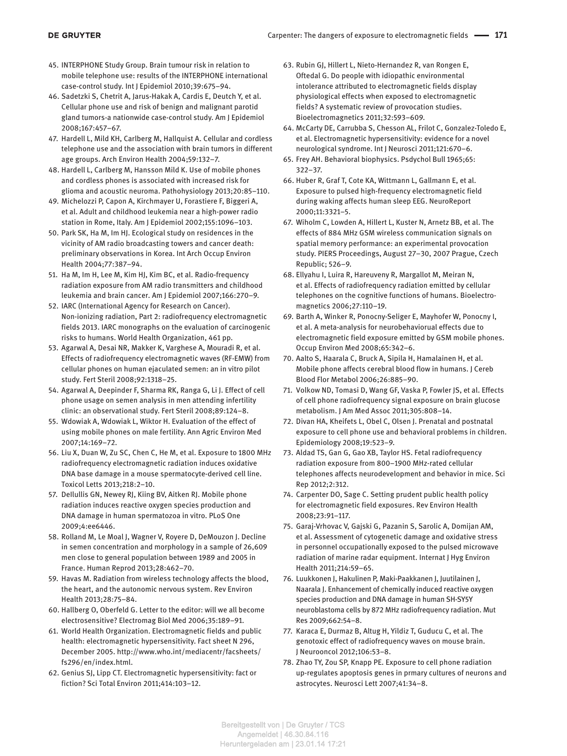- 45. INTERPHONE Study Group. Brain tumour risk in relation to mobile telephone use: results of the INTERPHONE international case-control study. Int J Epidemiol 2010;39:675–94.
- 46. Sadetzki S, Chetrit A, Jarus-Hakak A, Cardis E, Deutch Y, et al. Cellular phone use and risk of benign and malignant parotid gland tumors-a nationwide case-control study. Am J Epidemiol 2008;167:457–67.
- 47. Hardell L, Mild KH, Carlberg M, Hallquist A. Cellular and cordless telephone use and the association with brain tumors in different age groups. Arch Environ Health 2004;59:132–7.
- 48. Hardell L, Carlberg M, Hansson Mild K. Use of mobile phones and cordless phones is associated with increased risk for glioma and acoustic neuroma. Pathohysiology 2013;20:85–110.
- 49. Michelozzi P, Capon A, Kirchmayer U, Forastiere F, Biggeri A, et al. Adult and childhood leukemia near a high-power radio station in Rome, Italy. Am J Epidemiol 2002;155:1096–103.
- 50. Park SK, Ha M, Im HJ. Ecological study on residences in the vicinity of AM radio broadcasting towers and cancer death: preliminary observations in Korea. Int Arch Occup Environ Health 2004;77:387–94.
- 51. Ha M, Im H, Lee M, Kim HJ, Kim BC, et al. Radio-frequency radiation exposure from AM radio transmitters and childhood leukemia and brain cancer. Am J Epidemiol 2007;166:270–9.
- 52. IARC (International Agency for Research on Cancer). Non-ionizing radiation, Part 2: radiofrequency electromagnetic fields 2013. IARC monographs on the evaluation of carcinogenic risks to humans. World Health Organization, 461 pp.
- 53. Agarwal A, Desai NR, Makker K, Varghese A, Mouradi R, et al. Effects of radiofrequency electromagnetic waves (RF-EMW) from cellular phones on human ejaculated semen: an in vitro pilot study. Fert Steril 2008;92:1318–25.
- 54. Agarwal A, Deepinder F, Sharma RK, Ranga G, Li J. Effect of cell phone usage on semen analysis in men attending infertility clinic: an observational study. Fert Steril 2008;89:124–8.
- 55. Wdowiak A, Wdowiak L, Wiktor H. Evaluation of the effect of using mobile phones on male fertility. Ann Agric Environ Med 2007;14:169–72.
- 56. Liu X, Duan W, Zu SC, Chen C, He M, et al. Exposure to 1800 MHz radiofrequency electromagnetic radiation induces oxidative DNA base damage in a mouse spermatocyte-derived cell line. Toxicol Letts 2013;218:2–10.
- 57. DeIlullis GN, Newey RJ, Kiing BV, Aitken RJ. Mobile phone radiation induces reactive oxygen species production and DNA damage in human spermatozoa in vitro. PLoS One 2009;4:ee6446.
- 58. Rolland M, Le Moal J, Wagner V, Royere D, DeMouzon J. Decline in semen concentration and morphology in a sample of 26,609 men close to general population between 1989 and 2005 in France. Human Reprod 2013;28:462–70.
- 59. Havas M. Radiation from wireless technology affects the blood, the heart, and the autonomic nervous system. Rev Environ Health 2013;28:75–84.
- 60. Hallberg O, Oberfeld G. Letter to the editor: will we all become electrosensitive? Electromag Biol Med 2006;35:189–91.
- 61. World Health Organization. Electromagnetic fields and public health: electromagnetic hypersensitivity. Fact sheet N 296, December 2005. [http://www.who.int/mediacentr/facsheets/](http://www.who.int/mediacentr/facsheets/fs296/en/index.html) [fs296/en/index.html](http://www.who.int/mediacentr/facsheets/fs296/en/index.html).
- 62. Genius SJ, Lipp CT. Electromagnetic hypersensitivity: fact or fiction? Sci Total Environ 2011;414:103–12.
- 63. Rubin GJ, Hillert L, Nieto-Hernandez R, van Rongen E, Oftedal G. Do people with idiopathic environmental intolerance attributed to electromagnetic fields display physiological effects when exposed to electromagnetic fields? A systematic review of provocation studies. Bioelectromagnetics 2011;32:593–609.
- 64. McCarty DE, Carrubba S, Chesson AL, Frilot C, Gonzalez-Toledo E, et al. Electromagnetic hypersensitivity: evidence for a novel neurological syndrome. Int J Neurosci 2011;121:670–6.
- 65. Frey AH. Behavioral biophysics. Psdychol Bull 1965;65: 322–37.
- 66. Huber R, Graf T, Cote KA, Wittmann L, Gallmann E, et al. Exposure to pulsed high-frequency electromagnetic field during waking affects human sleep EEG. NeuroReport 2000;11:3321–5.
- 67. Wiholm C, Lowden A, Hillert L, Kuster N, Arnetz BB, et al. The effects of 884 MHz GSM wireless communication signals on spatial memory performance: an experimental provocation study. PIERS Proceedings, August 27–30, 2007 Prague, Czech Republic; 526–9.
- 68. Ellyahu I, Luira R, Hareuveny R, Margallot M, Meiran N, et al. Effects of radiofrequency radiation emitted by cellular telephones on the cognitive functions of humans. Bioelectromagnetics 2006;27:110–19.
- 69. Barth A, Winker R, Ponocny-Seliger E, Mayhofer W, Ponocny I, et al. A meta-analysis for neurobehaviorual effects due to electromagnetic field exposure emitted by GSM mobile phones. Occup Environ Med 2008;65:342–6.
- 70. Aalto S, Haarala C, Bruck A, Sipila H, Hamalainen H, et al. Mobile phone affects cerebral blood flow in humans. J Cereb Blood Flor Metabol 2006;26:885–90.
- 71. Volkow ND, Tomasi D, Wang GF, Vaska P, Fowler JS, et al. Effects of cell phone radiofrequency signal exposure on brain glucose metabolism. J Am Med Assoc 2011;305:808–14.
- 72. Divan HA, Kheifets L, Obel C, Olsen J. Prenatal and postnatal exposure to cell phone use and behavioral problems in children. Epidemiology 2008;19:523–9.
- 73. Aldad TS, Gan G, Gao XB, Taylor HS. Fetal radiofrequency radiation exposure from 800–1900 MHz-rated cellular telephones affects neurodevelopment and behavior in mice. Sci Rep 2012;2:312.
- 74. Carpenter DO, Sage C. Setting prudent public health policy for electromagnetic field exposures. Rev Environ Health 2008;23:91–117.
- 75. Garaj-Vrhovac V, Gajski G, Pazanin S, Sarolic A, Domijan AM, et al. Assessment of cytogenetic damage and oxidative stress in personnel occupationally exposed to the pulsed microwave radiation of marine radar equipment. Internat J Hyg Environ Health 2011;214:59–65.
- 76. Luukkonen J, Hakulinen P, Maki-Paakkanen J, Juutilainen J, Naarala J. Enhancement of chemically induced reactive oxygen species production and DNA damage in human SH-SY5Y neuroblastoma cells by 872 MHz radiofrequency radiation. Mut Res 2009;662:54–8.
- 77. Karaca E, Durmaz B, Altug H, Yildiz T, Guducu C, et al. The genotoxic effect of radiofrequency waves on mouse brain. J Neurooncol 2012;106:53–8.
- 78. Zhao TY, Zou SP, Knapp PE. Exposure to cell phone radiation up-regulates apoptosis genes in prmary cultures of neurons and astrocytes. Neurosci Lett 2007;41:34–8.